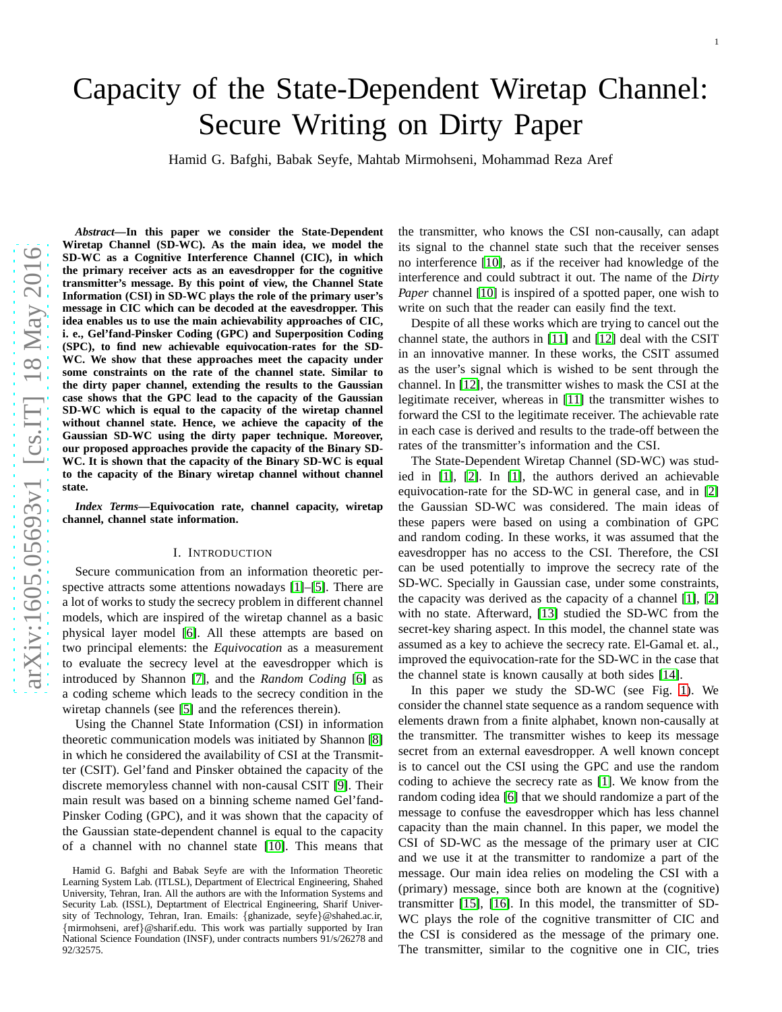# Capacity of the State-Dependent Wiretap Channel: Secure Writing on Dirty Paper

Hamid G. Bafghi, Babak Seyfe, Mahtab Mirmohseni, Mohammad Reza Aref

*Abstract***—In this paper we consider the State-Dependent Wiretap Channel (SD-WC). As the main idea, we model the SD-WC as a Cognitive Interference Channel (CIC), in which the primary receiver acts as an eavesdropper for the cognitive transmitter's message. By this point of view, the Channel State Information (CSI) in SD-WC plays the role of the primary user's message in CIC which can be decoded at the eavesdropper. This idea enables us to use the main achievability approaches of CIC, i. e., Gel'fand-Pinsker Coding (GPC) and Superposition Coding (SPC), to find new achievable equivocation-rates for the SD-WC. We show that these approaches meet the capacity under some constraints on the rate of the channel state. Similar to the dirty paper channel, extending the results to the Gaussian case shows that the GPC lead to the capacity of the Gaussian SD-WC which is equal to the capacity of the wiretap channel without channel state. Hence, we achieve the capacity of the Gaussian SD-WC using the dirty paper technique. Moreover, our proposed approaches provide the capacity of the Binary SD-WC. It is shown that the capacity of the Binary SD-WC is equal to the capacity of the Binary wiretap channel without channe l state.**

*Index Terms***—Equivocation rate, channel capacity, wiretap channel, channel state information.**

# I. INTRODUCTION

Secure communication from an information theoretic per-spective attracts some attentions nowadays [\[1\]](#page-8-0)–[\[5\]](#page-8-1). There are a lot of works to study the secrecy problem in different channel models, which are inspired of the wiretap channel as a basic physical layer model [\[6\]](#page-8-2). All these attempts are based on two principal elements: the *Equivocation* as a measurement to evaluate the secrecy level at the eavesdropper which is introduced by Shannon [\[7\]](#page-8-3), and the *Random Coding* [\[6\]](#page-8-2) as a coding scheme which leads to the secrecy condition in the wiretap channels (see [\[5\]](#page-8-1) and the references therein).

Using the Channel State Information (CSI) in information theoretic communication models was initiated by Shannon [\[8](#page-8-4) ] in which he considered the availability of CSI at the Transmitter (CSIT). Gel'fand and Pinsker obtained the capacity of the discrete memoryless channel with non-causal CSIT [\[9\]](#page-8-5). Thei r main result was based on a binning scheme named Gel'fand-Pinsker Coding (GPC), and it was shown that the capacity of the Gaussian state-dependent channel is equal to the capacity of a channel with no channel state [\[10\]](#page-8-6). This means that the transmitter, who knows the CSI non-causally, can adapt its signal to the channel state such that the receiver senses no interference [\[10\]](#page-8-6), as if the receiver had knowledge of the interference and could subtract it out. The name of the *Dirty Paper* channel [\[10\]](#page-8-6) is inspired of a spotted paper, one wish to write on such that the reader can easily find the text.

Despite of all these works which are trying to cancel out the channel state, the authors in [\[11\]](#page-8-7) and [\[12\]](#page-8-8) deal with the CSIT in an innovative manner. In these works, the CSIT assumed as the user's signal which is wished to be sent through the channel. In [\[12\]](#page-8-8), the transmitter wishes to mask the CSI at th e legitimate receiver, whereas in [\[11\]](#page-8-7) the transmitter wishes to forward the CSI to the legitimate receiver. The achievable rate in each case is derived and results to the trade-off between the rates of the transmitter's information and the CSI.

The State-Dependent Wiretap Channel (SD-WC) was studied in [\[1\]](#page-8-0), [\[2\]](#page-8-9). In [\[1\]](#page-8-0), the authors derived an achievable equivocation-rate for the SD-WC in general case, and in [\[2\]](#page-8-9) the Gaussian SD-WC was considered. The main ideas of these papers were based on using a combination of GPC and random coding. In these works, it was assumed that the eavesdropper has no access to the CSI. Therefore, the CSI can be used potentially to improve the secrecy rate of the SD-WC. Specially in Gaussian case, under some constraints, the capacity was derived as the capacity of a channel [\[1\]](#page-8-0), [\[2\]](#page-8-9) with no state. Afterward, [\[13\]](#page-8-10) studied the SD-WC from the secret-key sharing aspect. In this model, the channel state was assumed as a key to achieve the secrecy rate. El-Gamal et. al. , improved the equivocation-rate for the SD-WC in the case tha t the channel state is known causally at both sides [\[14\]](#page-8-11).

In this paper we study the SD-WC (see Fig. [1\)](#page-1-0). We consider the channel state sequence as a random sequence wit h elements drawn from a finite alphabet, known non-causally at the transmitter. The transmitter wishes to keep its message secret from an external eavesdropper. A well known concept is to cancel out the CSI using the GPC and use the random coding to achieve the secrecy rate as [\[1\]](#page-8-0). We know from the random coding idea [\[6\]](#page-8-2) that we should randomize a part of the message to confuse the eavesdropper which has less channel capacity than the main channel. In this paper, we model the CSI of SD-WC as the message of the primary user at CIC and we use it at the transmitter to randomize a part of the message. Our main idea relies on modeling the CSI with a (primary) message, since both are known at the (cognitive) transmitter [\[15\]](#page-8-12), [\[16\]](#page-8-13). In this model, the transmitter of SD - WC plays the role of the cognitive transmitter of CIC and the CSI is considered as the message of the primary one. The transmitter, similar to the cognitive one in CIC, tries

Hamid G. Bafghi and Babak Seyfe are with the Information Theoretic Learning System Lab. (ITLSL), Department of Electrical Engineering, Shahed University, Tehran, Iran. All the authors are with the Information Systems and Security Lab. (ISSL), Deptartment of Electrical Engineering, Sharif University of Technology, Tehran, Iran. Emails: {ghanizade, seyfe}@shahed.ac.ir, {mirmohseni, aref}@sharif.edu. This work was partially supported by Iran National Science Foundation (INSF), under contracts numbers 91/s/26278 and 92/32575.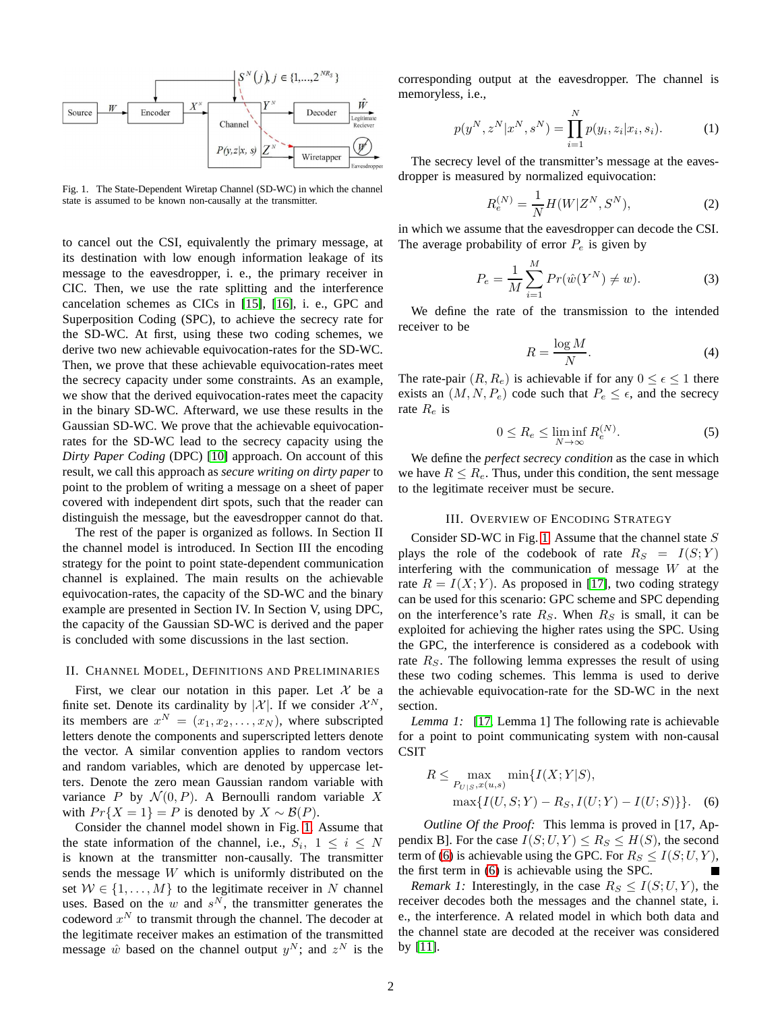

<span id="page-1-0"></span>Fig. 1. The State-Dependent Wiretap Channel (SD-WC) in which the channel state is assumed to be known non-causally at the transmitter.

to cancel out the CSI, equivalently the primary message, at its destination with low enough information leakage of its message to the eavesdropper, i. e., the primary receiver in CIC. Then, we use the rate splitting and the interference cancelation schemes as CICs in [\[15\]](#page-8-12), [\[16\]](#page-8-13), i. e., GPC and Superposition Coding (SPC), to achieve the secrecy rate for the SD-WC. At first, using these two coding schemes, we derive two new achievable equivocation-rates for the SD-WC. Then, we prove that these achievable equivocation-rates meet the secrecy capacity under some constraints. As an example, we show that the derived equivocation-rates meet the capacity in the binary SD-WC. Afterward, we use these results in the Gaussian SD-WC. We prove that the achievable equivocationrates for the SD-WC lead to the secrecy capacity using the *Dirty Paper Coding* (DPC) [\[10\]](#page-8-6) approach. On account of this result, we call this approach as *secure writing on dirty paper* to point to the problem of writing a message on a sheet of paper covered with independent dirt spots, such that the reader can distinguish the message, but the eavesdropper cannot do that.

The rest of the paper is organized as follows. In Section II the channel model is introduced. In Section III the encoding strategy for the point to point state-dependent communication channel is explained. The main results on the achievable equivocation-rates, the capacity of the SD-WC and the binary example are presented in Section IV. In Section V, using DPC, the capacity of the Gaussian SD-WC is derived and the paper is concluded with some discussions in the last section.

#### II. CHANNEL MODEL, DEFINITIONS AND PRELIMINARIES

First, we clear our notation in this paper. Let  $\mathcal X$  be a finite set. Denote its cardinality by |X|. If we consider  $\mathcal{X}^N$ , its members are  $x^N = (x_1, x_2, \dots, x_N)$ , where subscripted letters denote the components and superscripted letters denote the vector. A similar convention applies to random vectors and random variables, which are denoted by uppercase letters. Denote the zero mean Gaussian random variable with variance P by  $\mathcal{N}(0, P)$ . A Bernoulli random variable X with  $Pr{X = 1} = P$  is denoted by  $X \sim B(P)$ .

Consider the channel model shown in Fig. [1.](#page-1-0) Assume that the state information of the channel, i.e.,  $S_i$ ,  $1 \le i \le N$ is known at the transmitter non-causally. The transmitter sends the message W which is uniformly distributed on the set  $W \in \{1, \ldots, M\}$  to the legitimate receiver in N channel uses. Based on the w and  $s^N$ , the transmitter generates the codeword  $x^N$  to transmit through the channel. The decoder at the legitimate receiver makes an estimation of the transmitted message  $\hat{w}$  based on the channel output  $y^N$ ; and  $z^N$  is the corresponding output at the eavesdropper. The channel is memoryless, i.e.,

$$
p(y^N, z^N | x^N, s^N) = \prod_{i=1}^N p(y_i, z_i | x_i, s_i).
$$
 (1)

The secrecy level of the transmitter's message at the eavesdropper is measured by normalized equivocation:

$$
R_e^{(N)} = \frac{1}{N} H(W|Z^N, S^N),
$$
\n(2)

in which we assume that the eavesdropper can decode the CSI. The average probability of error  $P_e$  is given by

$$
P_e = \frac{1}{M} \sum_{i=1}^{M} Pr(\hat{w}(Y^N) \neq w).
$$
 (3)

We define the rate of the transmission to the intended receiver to be

$$
R = \frac{\log M}{N}.\tag{4}
$$

The rate-pair  $(R, R_e)$  is achievable if for any  $0 \le \epsilon \le 1$  there exists an  $(M, N, P_e)$  code such that  $P_e \leq \epsilon$ , and the secrecy rate  $R_e$  is

$$
0 \le R_e \le \liminf_{N \to \infty} R_e^{(N)}.
$$
 (5)

We define the *perfect secrecy condition* as the case in which we have  $R \le R_e$ . Thus, under this condition, the sent message to the legitimate receiver must be secure.

### III. OVERVIEW OF ENCODING STRATEGY

Consider SD-WC in Fig. [1.](#page-1-0) Assume that the channel state  $S$ plays the role of the codebook of rate  $R_S = I(S; Y)$ interfering with the communication of message  $W$  at the rate  $R = I(X; Y)$ . As proposed in [\[17\]](#page-8-14), two coding strategy can be used for this scenario: GPC scheme and SPC depending on the interference's rate  $R<sub>S</sub>$ . When  $R<sub>S</sub>$  is small, it can be exploited for achieving the higher rates using the SPC. Using the GPC, the interference is considered as a codebook with rate  $R<sub>S</sub>$ . The following lemma expresses the result of using these two coding schemes. This lemma is used to derive the achievable equivocation-rate for the SD-WC in the next section.

<span id="page-1-1"></span>*Lemma 1:* [\[17,](#page-8-14) Lemma 1] The following rate is achievable for a point to point communicating system with non-causal CSIT

$$
R \le \max_{P_{U|S}, x(u,s)} \min\{I(X;Y|S),
$$
  
max $\{I(U, S; Y) - R_S, I(U; Y) - I(U; S)\}\}.$  (6)

*Outline Of the Proof:* This lemma is proved in [17, Appendix B]. For the case  $I(S; U, Y) \leq R_S \leq H(S)$ , the second term of [\(6\)](#page-1-1) is achievable using the GPC. For  $R_S \leq I(S; U, Y)$ , the first term in [\(6\)](#page-1-1) is achievable using the SPC.

*Remark 1:* Interestingly, in the case  $R_S \leq I(S; U, Y)$ , the receiver decodes both the messages and the channel state, i. e., the interference. A related model in which both data and the channel state are decoded at the receiver was considered by [\[11\]](#page-8-7).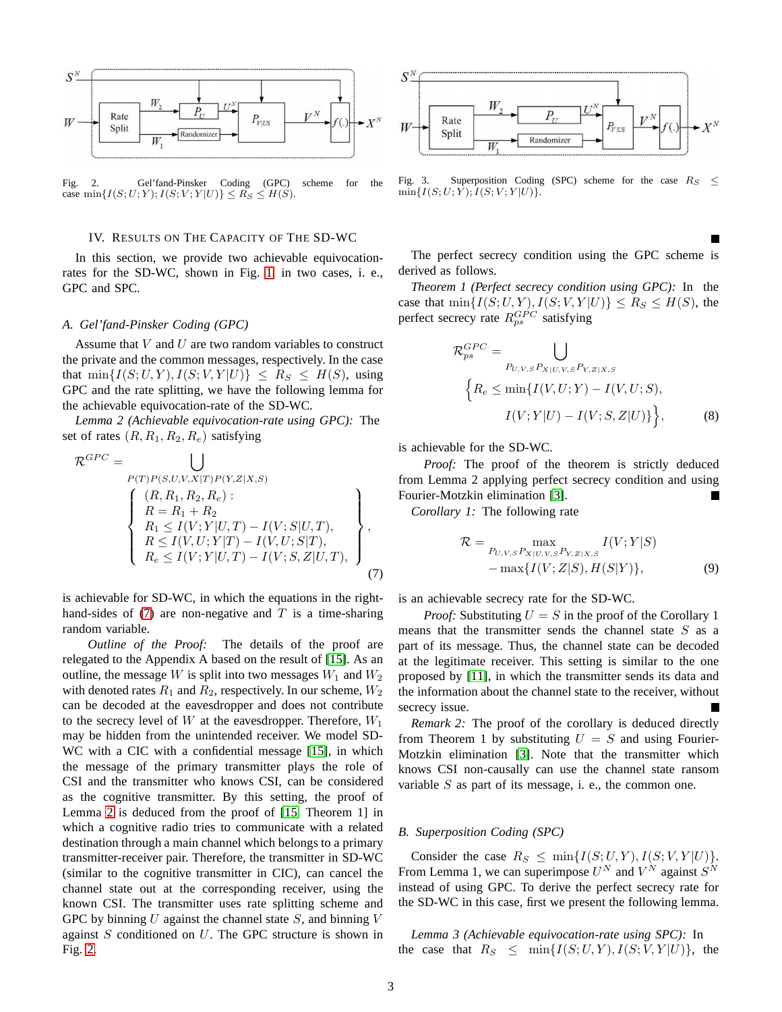

Fig. 2. Gel'fand-Pinsker Coding (GPC) scheme for the case min $\{I(S; U; Y); I(S; V; Y|U)\} \le R_S \le H(S)$ .

#### <span id="page-2-1"></span>IV. RESULTS ON THE CAPACITY OF THE SD-WC

In this section, we provide two achievable equivocationrates for the SD-WC, shown in Fig. [1,](#page-1-0) in two cases, i. e., GPC and SPC.

#### *A. Gel'fand-Pinsker Coding (GPC)*

Assume that  $V$  and  $U$  are two random variables to construct the private and the common messages, respectively. In the case that  $\min\{I(S; U, Y), I(S; V, Y | U)\}\leq R_S \leq H(S)$ , using GPC and the rate splitting, we have the following lemma for the achievable equivocation-rate of the SD-WC.

<span id="page-2-0"></span>*Lemma 2 (Achievable equivocation-rate using GPC):* The set of rates  $(R, R_1, R_2, R_e)$  satisfying

$$
\mathcal{R}^{GPC} = \bigcup_{P(T)P(S,U,V,X|T)P(Y,Z|X,S)} \{R, R_1, R_2, R_e\} : \\
R = R_1 + R_2 \\
R_1 \le I(V;Y|U,T) - I(V;S|U,T), \\
R \le I(V,U;Y|T) - I(V,U;S|T), \\
R_e \le I(V;Y|U,T) - I(V;S,Z|U,T),
$$
\n(7)

is achievable for SD-WC, in which the equations in the righthand-sides of  $(7)$  are non-negative and T is a time-sharing random variable.

*Outline of the Proof:* The details of the proof are relegated to the Appendix A based on the result of [\[15\]](#page-8-12). As an outline, the message  $W$  is split into two messages  $W_1$  and  $W_2$ with denoted rates  $R_1$  and  $R_2$ , respectively. In our scheme,  $W_2$ can be decoded at the eavesdropper and does not contribute to the secrecy level of W at the eavesdropper. Therefore,  $W_1$ may be hidden from the unintended receiver. We model SD-WC with a CIC with a confidential message [\[15\]](#page-8-12), in which the message of the primary transmitter plays the role of CSI and the transmitter who knows CSI, can be considered as the cognitive transmitter. By this setting, the proof of Lemma [2](#page-2-0) is deduced from the proof of [\[15,](#page-8-12) Theorem 1] in which a cognitive radio tries to communicate with a related destination through a main channel which belongs to a primary transmitter-receiver pair. Therefore, the transmitter in SD-WC (similar to the cognitive transmitter in CIC), can cancel the channel state out at the corresponding receiver, using the known CSI. The transmitter uses rate splitting scheme and GPC by binning  $U$  against the channel state  $S$ , and binning  $V$ against  $S$  conditioned on  $U$ . The GPC structure is shown in Fig. [2.](#page-2-1)



<span id="page-2-2"></span>Fig. 3. Superposition Coding (SPC) scheme for the case  $R_S \leq$  $\min\{I(S; U; Y); I(S; V; Y|U)\}.$ 

The perfect secrecy condition using the GPC scheme is derived as follows.

*Theorem 1 (Perfect secrecy condition using GPC):* In the case that  $\min\{I(S; U, Y), I(S; V, Y | U)\} \leq R_S \leq H(S)$ , the perfect secrecy rate  $R_{ps}^{GPC}$  satisfying

<span id="page-2-4"></span>
$$
\mathcal{R}_{ps}^{GPC} = \bigcup_{P_{U,V,S}P_{X|U,V,S}P_{Y,Z|X,S}}\n\Big\{R_e \le \min\{I(V,U;Y) - I(V,U;S),\n\quad I(V;Y|U) - I(V;S,Z|U)\}\Big\},
$$
\n(8)

is achievable for the SD-WC.

*Proof:* The proof of the theorem is strictly deduced from Lemma 2 applying perfect secrecy condition and using Fourier-Motzkin elimination [\[3\]](#page-8-15).

*Corollary 1:* The following rate

$$
\mathcal{R} = \max_{P_{U,V,S} P_{X|U,V,S} P_{Y,Z|X,S}} I(V;Y|S)
$$

$$
-\max\{I(V;Z|S), H(S|Y)\},
$$
(9)

is an achievable secrecy rate for the SD-WC.

*Proof:* Substituting  $U = S$  in the proof of the Corollary 1 means that the transmitter sends the channel state  $S$  as a part of its message. Thus, the channel state can be decoded at the legitimate receiver. This setting is similar to the one proposed by [\[11\]](#page-8-7), in which the transmitter sends its data and the information about the channel state to the receiver, without secrecy issue.

*Remark 2:* The proof of the corollary is deduced directly from Theorem 1 by substituting  $U = S$  and using Fourier-Motzkin elimination [\[3\]](#page-8-15). Note that the transmitter which knows CSI non-causally can use the channel state ransom variable  $S$  as part of its message, i. e., the common one.

#### *B. Superposition Coding (SPC)*

Consider the case  $R_S \leq \min\{I(S; U, Y), I(S; V, Y | U)\}.$ From Lemma 1, we can superimpose  $U^N$  and  $V^N$  against  $S^N$ instead of using GPC. To derive the perfect secrecy rate for the SD-WC in this case, first we present the following lemma.

<span id="page-2-3"></span>*Lemma 3 (Achievable equivocation-rate using SPC):* In the case that  $R_S \leq \min\{I(S; U, Y), I(S; V, Y | U)\}\$ , the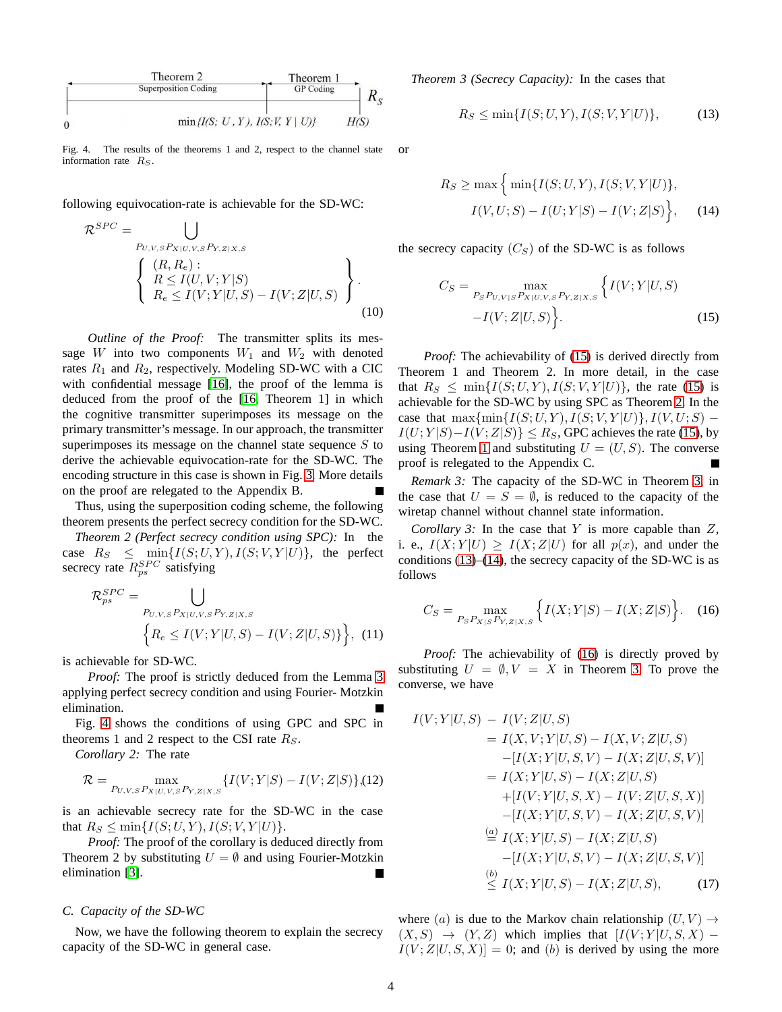

<span id="page-3-0"></span>Fig. 4. The results of the theorems 1 and 2, respect to the channel state information rate  $R<sub>S</sub>$ .

following equivocation-rate is achievable for the SD-WC:

$$
\mathcal{R}^{SPC} = \bigcup_{P_{U,V,S}P_{X|U,V,S}P_{Y,Z|X,S}}\n\left\{\n\begin{array}{l}\n(R, R_e): \\
R \le I(U, V; Y|S) \\
R_e \le I(V; Y|U, S) - I(V; Z|U, S)\n\end{array}\n\right\}.
$$
\n(10)

*Outline of the Proof:* The transmitter splits its message W into two components  $W_1$  and  $W_2$  with denoted rates  $R_1$  and  $R_2$ , respectively. Modeling SD-WC with a CIC with confidential message [\[16\]](#page-8-13), the proof of the lemma is deduced from the proof of the [\[16,](#page-8-13) Theorem 1] in which the cognitive transmitter superimposes its message on the primary transmitter's message. In our approach, the transmitter superimposes its message on the channel state sequence  $S$  to derive the achievable equivocation-rate for the SD-WC. The encoding structure in this case is shown in Fig. [3.](#page-2-2) More details on the proof are relegated to the Appendix B.

Thus, using the superposition coding scheme, the following theorem presents the perfect secrecy condition for the SD-WC.

<span id="page-3-2"></span>*Theorem 2 (Perfect secrecy condition using SPC):* In the case  $R_S \leq \min\{I(S; U, Y), I(S; V, Y | U)\}$ , the perfect secrecy rate  $R_{ps}^{SPC}$  satisfying

$$
\mathcal{R}_{ps}^{SPC} = \bigcup_{P_{U,V,S}P_{X|U,V,S}P_{Y,Z|X,S}} \left\{ R_e \le I(V;Y|U,S) - I(V;Z|U,S) \right\}, \tag{11}
$$

is achievable for SD-WC.

*Proof:* The proof is strictly deduced from the Lemma [3](#page-2-3) applying perfect secrecy condition and using Fourier- Motzkin elimination.

Fig. [4](#page-3-0) shows the conditions of using GPC and SPC in theorems 1 and 2 respect to the CSI rate  $R<sub>S</sub>$ .

*Corollary 2:* The rate

$$
\mathcal{R} = \max_{P_{U,V,S} P_{X|U,V,S} P_{Y,Z|X,S}} \{ I(V;Y|S) - I(V;Z|S) \}, (12)
$$

is an achievable secrecy rate for the SD-WC in the case that  $R_S \le \min\{I(S; U, Y), I(S; V, Y | U)\}.$ 

*Proof:* The proof of the corollary is deduced directly from Theorem 2 by substituting  $U = \emptyset$  and using Fourier-Motzkin elimination [\[3\]](#page-8-15).

## *C. Capacity of the SD-WC*

Now, we have the following theorem to explain the secrecy capacity of the SD-WC in general case.

*Theorem 3 (Secrecy Capacity):* In the cases that

$$
R_S \le \min\{I(S; U, Y), I(S; V, Y|U)\},\tag{13}
$$

or

$$
R_S \ge \max\left\{\min\{I(S; U, Y), I(S; V, Y|U)\},\right.\
$$

$$
I(V, U; S) - I(U; Y|S) - I(V; Z|S)\right\},\tag{14}
$$

the secrecy capacity  $(C<sub>S</sub>)$  of the SD-WC is as follows

$$
C_{S} = \max_{P_{S}P_{U,V|S}P_{X|U,V,S}P_{Y,Z|X,S}} \left\{ I(V;Y|U,S) - I(V;Z|U,S) \right\}.
$$
 (15)

*Proof:* The achievability of [\(15\)](#page-3-1) is derived directly from Theorem 1 and Theorem 2. In more detail, in the case that  $R_S \le \min\{I(S; U, Y), I(S; V, Y | U)\}\$ , the rate [\(15\)](#page-3-1) is achievable for the SD-WC by using SPC as Theorem [2.](#page-3-2) In the case that  $\max{\min\{I(S; U, Y), I(S; V, Y | U)\}, I(V, U; S)}$  $I(U;Y|S) - I(V;Z|S) \leq R_S$ , GPC achieves the rate [\(15\)](#page-3-1), by using Theorem [1](#page-2-4) and substituting  $U = (U, S)$ . The converse proof is relegated to the Appendix C.

*Remark 3:* The capacity of the SD-WC in Theorem [3,](#page-3-1) in the case that  $U = S = \emptyset$ , is reduced to the capacity of the wiretap channel without channel state information.

<span id="page-3-3"></span>*Corollary 3:* In the case that Y is more capable than Z, i. e.,  $I(X;Y|U) \geq I(X;Z|U)$  for all  $p(x)$ , and under the conditions  $(13)$ – $(14)$ , the secrecy capacity of the SD-WC is as follows

$$
C_S = \max_{P_S P_{X|S} P_{Y,Z|X,S}} \left\{ I(X;Y|S) - I(X;Z|S) \right\}.
$$
 (16)

*Proof:* The achievability of [\(16\)](#page-3-3) is directly proved by substituting  $U = \emptyset, V = X$  in Theorem [3.](#page-3-1) To prove the converse, we have

$$
I(V;Y|U,S) - I(V;Z|U,S)
$$
  
=  $I(X,V;Y|U,S) - I(X,V;Z|U,S)$   
-  $[I(X;Y|U,S,V) - I(X;Z|U,S,V)]$   
=  $I(X;Y|U,S) - I(X;Z|U,S)$   
+  $[I(V;Y|U,S,X) - I(V;Z|U,S,X)]$   
-  $[I(X;Y|U,S,V) - I(X;Z|U,S,V)]$   
 $\stackrel{(a)}{=} I(X;Y|U,S) - I(X;Z|U,S)$   
-  $[I(X;Y|U,S,V) - I(X;Z|U,S,V)]$   
 $\stackrel{(b)}{\leq} I(X;Y|U,S) - I(X;Z|U,S)$ , (17)

<span id="page-3-1"></span>where (a) is due to the Markov chain relationship  $(U, V) \rightarrow$  $(X, S) \rightarrow (Y, Z)$  which implies that  $[I(V; Y | U, S, X)$  –  $I(V;Z|U, S, X) = 0$ ; and (b) is derived by using the more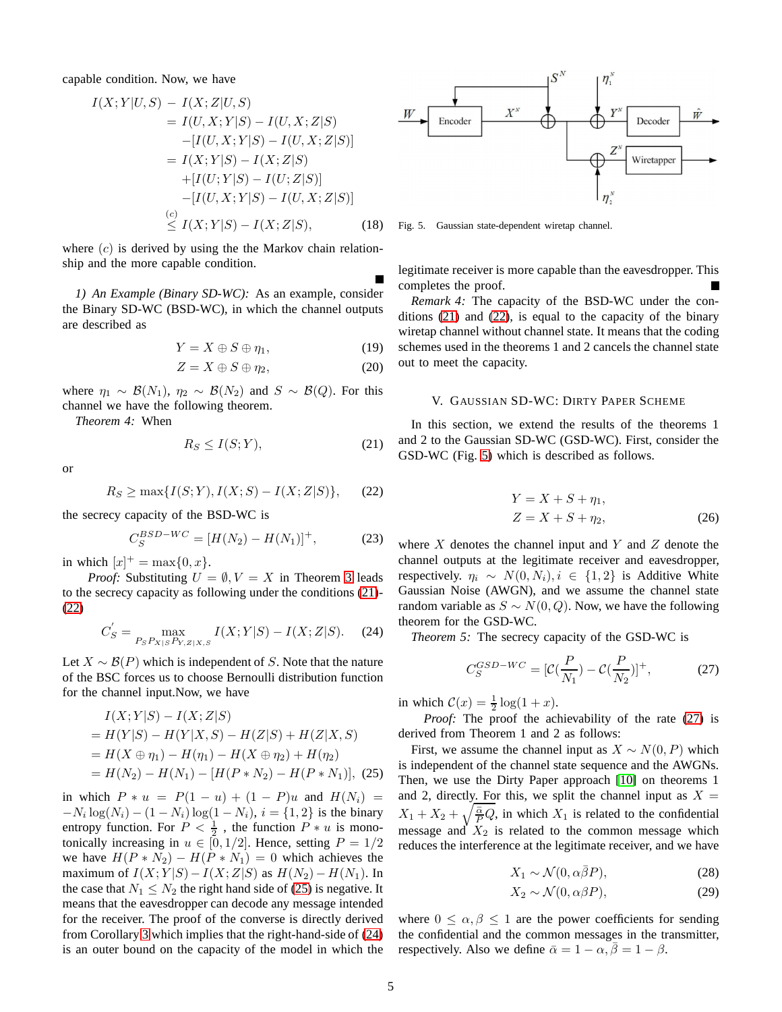capable condition. Now, we have

$$
I(X;Y|U,S) - I(X;Z|U,S)
$$
  
=  $I(U, X; Y|S) - I(U, X; Z|S)$   
-  $[I(U, X; Y|S) - I(U, X; Z|S)]$   
=  $I(X; Y|S) - I(X; Z|S)$   
+  $[I(U; Y|S) - I(U; Z|S)]$   
-  $[I(U, X; Y|S) - I(U, X; Z|S)]$   
(c)  
 $\leq I(X; Y|S) - I(X; Z|S),$  (18)

where  $(c)$  is derived by using the the Markov chain relationship and the more capable condition.

*1) An Example (Binary SD-WC):* As an example, consider the Binary SD-WC (BSD-WC), in which the channel outputs are described as

$$
Y = X \oplus S \oplus \eta_1,\tag{19}
$$

$$
Z = X \oplus S \oplus \eta_2, \tag{20}
$$

where  $\eta_1 \sim \mathcal{B}(N_1)$ ,  $\eta_2 \sim \mathcal{B}(N_2)$  and  $S \sim \mathcal{B}(Q)$ . For this channel we have the following theorem.

*Theorem 4:* When

<span id="page-4-0"></span>
$$
R_S \le I(S;Y),\tag{21}
$$

or

$$
R_S \ge \max\{I(S;Y), I(X;S) - I(X;Z|S)\},\tag{22}
$$

the secrecy capacity of the BSD-WC is

$$
C_S^{BSD-WC} = [H(N_2) - H(N_1)]^+, \tag{23}
$$

in which  $[x]^{+} = \max\{0, x\}.$ 

*Proof:* Substituting  $U = \emptyset$ ,  $V = X$  in Theorem [3](#page-3-1) leads to the secrecy capacity as following under the conditions [\(21\)](#page-4-0)- [\(22\)](#page-4-0)

$$
C'_{S} = \max_{P_{S}P_{X|S}P_{Y,Z|X,S}} I(X;Y|S) - I(X;Z|S). \tag{24}
$$

Let  $X \sim \mathcal{B}(P)$  which is independent of S. Note that the nature of the BSC forces us to choose Bernoulli distribution function for the channel input.Now, we have

$$
I(X; Y|S) - I(X; Z|S)
$$
  
=  $H(Y|S) - H(Y|X, S) - H(Z|S) + H(Z|X, S)$   
=  $H(X \oplus \eta_1) - H(\eta_1) - H(X \oplus \eta_2) + H(\eta_2)$   
=  $H(N_2) - H(N_1) - [H(P*N_2) - H(P*N_1)],$  (25)

in which  $P * u = P(1 - u) + (1 - P)u$  and  $H(N_i) =$  $-N_i \log(N_i) - (1 - N_i) \log(1 - N_i), i = \{1, 2\}$  is the binary entropy function. For  $P < \frac{1}{2}$ , the function  $P * u$  is monotonically increasing in  $u \in [0, 1/2]$ . Hence, setting  $P = 1/2$ we have  $H(P*N_2) - H(P*N_1) = 0$  which achieves the maximum of  $I(X; Y|S) - I(X; Z|S)$  as  $H(N_2) - H(N_1)$ . In the case that  $N_1 \leq N_2$  the right hand side of [\(25\)](#page-4-0) is negative. It means that the eavesdropper can decode any message intended for the receiver. The proof of the converse is directly derived from Corollary [3](#page-3-3) which implies that the right-hand-side of [\(24\)](#page-4-0) is an outer bound on the capacity of the model in which the



<span id="page-4-1"></span>Fig. 5. Gaussian state-dependent wiretap channel.

legitimate receiver is more capable than the eavesdropper. This completes the proof.

*Remark 4:* The capacity of the BSD-WC under the conditions [\(21\)](#page-4-0) and [\(22\)](#page-4-0), is equal to the capacity of the binary wiretap channel without channel state. It means that the coding schemes used in the theorems 1 and 2 cancels the channel state out to meet the capacity.

# V. GAUSSIAN SD-WC: DIRTY PAPER SCHEME

In this section, we extend the results of the theorems 1 and 2 to the Gaussian SD-WC (GSD-WC). First, consider the GSD-WC (Fig. [5\)](#page-4-1) which is described as follows.

$$
Y = X + S + \eta_1,
$$
  
\n
$$
Z = X + S + \eta_2,
$$
\n(26)

where  $X$  denotes the channel input and  $Y$  and  $Z$  denote the channel outputs at the legitimate receiver and eavesdropper, respectively.  $\eta_i \sim N(0, N_i), i \in \{1, 2\}$  is Additive White Gaussian Noise (AWGN), and we assume the channel state random variable as  $S \sim N(0, Q)$ . Now, we have the following theorem for the GSD-WC.

<span id="page-4-2"></span>*Theorem 5:* The secrecy capacity of the GSD-WC is

$$
C_S^{GSD-WC} = [\mathcal{C}(\frac{P}{N_1}) - \mathcal{C}(\frac{P}{N_2})]^+, \tag{27}
$$

in which  $\mathcal{C}(x) = \frac{1}{2} \log(1+x)$ .

*Proof:* The proof the achievability of the rate [\(27\)](#page-4-2) is derived from Theorem 1 and 2 as follows:

First, we assume the channel input as  $X \sim N(0, P)$  which is independent of the channel state sequence and the AWGNs. Then, we use the Dirty Paper approach [\[10\]](#page-8-6) on theorems 1 and 2, directly. For this, we split the channel input as  $X =$  $X_1 + X_2 + \sqrt{\frac{\alpha}{P}Q}$ , in which  $X_1$  is related to the confidential message and  $X_2$  is related to the common message which reduces the interference at the legitimate receiver, and we have

$$
X_1 \sim \mathcal{N}(0, \alpha \bar{\beta} P), \tag{28}
$$

$$
X_2 \sim \mathcal{N}(0, \alpha \beta P),\tag{29}
$$

where  $0 \le \alpha, \beta \le 1$  are the power coefficients for sending the confidential and the common messages in the transmitter, respectively. Also we define  $\bar{\alpha} = 1 - \alpha$ ,  $\bar{\beta} = 1 - \beta$ .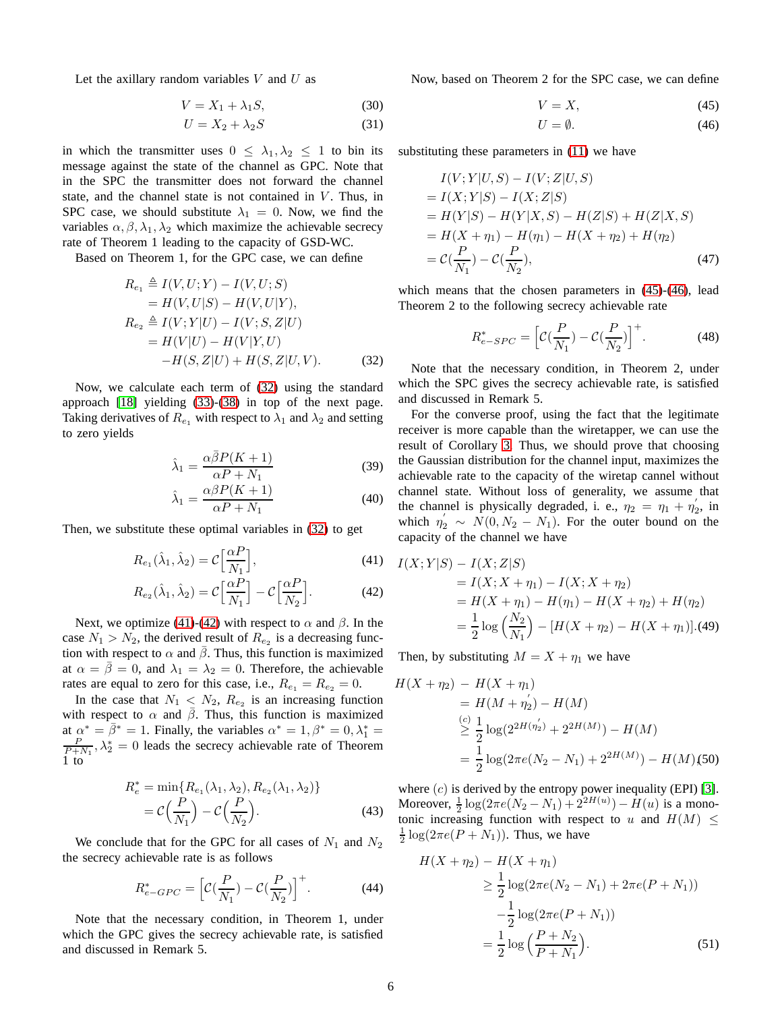Let the axillary random variables  $V$  and  $U$  as

$$
V = X_1 + \lambda_1 S,\tag{30}
$$

$$
U = X_2 + \lambda_2 S \tag{31}
$$

in which the transmitter uses  $0 \leq \lambda_1, \lambda_2 \leq 1$  to bin its message against the state of the channel as GPC. Note that in the SPC the transmitter does not forward the channel state, and the channel state is not contained in  $V$ . Thus, in SPC case, we should substitute  $\lambda_1 = 0$ . Now, we find the variables  $\alpha$ ,  $\beta$ ,  $\lambda_1$ ,  $\lambda_2$  which maximize the achievable secrecy rate of Theorem 1 leading to the capacity of GSD-WC.

Based on Theorem 1, for the GPC case, we can define

$$
R_{e_1} \triangleq I(V, U; Y) - I(V, U; S) = H(V, U|S) - H(V, U|Y), R_{e_2} \triangleq I(V; Y|U) - I(V; S, Z|U) = H(V|U) - H(V|Y, U) -H(S, Z|U) + H(S, Z|U, V).
$$
(32)

Now, we calculate each term of [\(32\)](#page-4-2) using the standard approach [\[18\]](#page-8-16) yielding [\(33\)](#page-4-2)-[\(38\)](#page-4-2) in top of the next page. Taking derivatives of  $R_{e_1}$  with respect to  $\lambda_1$  and  $\lambda_2$  and setting to zero yields

$$
\hat{\lambda}_1 = \frac{\alpha \bar{\beta} P(K+1)}{\alpha P + N_1} \tag{39}
$$

$$
\hat{\lambda}_1 = \frac{\alpha \beta P(K+1)}{\alpha P + N_1} \tag{40}
$$

Then, we substitute these optimal variables in [\(32\)](#page-4-2) to get

$$
R_{e_1}(\hat{\lambda}_1, \hat{\lambda}_2) = C \left[ \frac{\alpha P}{N_1} \right],\tag{41}
$$

$$
R_{e_2}(\hat{\lambda}_1, \hat{\lambda}_2) = C \left[ \frac{\alpha P}{N_1} \right] - C \left[ \frac{\alpha P}{N_2} \right]. \tag{42}
$$

Next, we optimize [\(41\)](#page-4-2)-[\(42\)](#page-4-2) with respect to  $\alpha$  and  $\beta$ . In the case  $N_1 > N_2$ , the derived result of  $R_{e_2}$  is a decreasing function with respect to  $\alpha$  and  $\bar{\beta}$ . Thus, this function is maximized at  $\alpha = \overline{\beta} = 0$ , and  $\lambda_1 = \lambda_2 = 0$ . Therefore, the achievable rates are equal to zero for this case, i.e.,  $R_{e_1} = R_{e_2} = 0$ .

In the case that  $N_1 \, < N_2$ ,  $R_{e_2}$  is an increasing function with respect to  $\alpha$  and  $\bar{\beta}$ . Thus, this function is maximized at  $\alpha^* = \overline{\beta^*} = 1$ . Finally, the variables  $\alpha^* = 1, \beta^* = 0, \lambda_1^* = 1$  $\frac{P}{P+N_1}$ ,  $\lambda_2^* = 0$  leads the secrecy achievable rate of Theorem 1 to

$$
R_e^* = \min\{R_{e_1}(\lambda_1, \lambda_2), R_{e_2}(\lambda_1, \lambda_2)\}
$$
  
=  $\mathcal{C}\left(\frac{P}{N_1}\right) - \mathcal{C}\left(\frac{P}{N_2}\right).$  (43)

We conclude that for the GPC for all cases of  $N_1$  and  $N_2$ the secrecy achievable rate is as follows

$$
R_{e-GPC}^* = \left[ \mathcal{C}(\frac{P}{N_1}) - \mathcal{C}(\frac{P}{N_2}) \right]^+.
$$
 (44)

Note that the necessary condition, in Theorem 1, under which the GPC gives the secrecy achievable rate, is satisfied and discussed in Remark 5.

Now, based on Theorem 2 for the SPC case, we can define

$$
V = X,\t\t(45)
$$

$$
U = \emptyset. \tag{46}
$$

substituting these parameters in [\(11\)](#page-3-2) we have

$$
I(V;Y|U,S) - I(V;Z|U,S)
$$
  
=  $I(X;Y|S) - I(X;Z|S)$   
=  $H(Y|S) - H(Y|X,S) - H(Z|S) + H(Z|X,S)$   
=  $H(X + \eta_1) - H(\eta_1) - H(X + \eta_2) + H(\eta_2)$   
=  $C(\frac{P}{N_1}) - C(\frac{P}{N_2}),$  (47)

which means that the chosen parameters in [\(45\)](#page-4-2)-[\(46\)](#page-4-2), lead Theorem 2 to the following secrecy achievable rate

$$
R_{e-SPC}^* = \left[ \mathcal{C}(\frac{P}{N_1}) - \mathcal{C}(\frac{P}{N_2}) \right]^+.
$$
 (48)

Note that the necessary condition, in Theorem 2, under which the SPC gives the secrecy achievable rate, is satisfied and discussed in Remark 5.

For the converse proof, using the fact that the legitimate receiver is more capable than the wiretapper, we can use the result of Corollary [3.](#page-3-3) Thus, we should prove that choosing the Gaussian distribution for the channel input, maximizes the achievable rate to the capacity of the wiretap cannel without channel state. Without loss of generality, we assume that the channel is physically degraded, i. e.,  $\eta_2 = \eta_1 + \eta_2'$ , in which  $\eta'_2 \sim N(0, N_2 - N_1)$ . For the outer bound on the capacity of the channel we have

$$
I(X;Y|S) - I(X;Z|S)
$$
  
=  $I(X; X + \eta_1) - I(X; X + \eta_2)$   
=  $H(X + \eta_1) - H(\eta_1) - H(X + \eta_2) + H(\eta_2)$   
=  $\frac{1}{2} \log \left(\frac{N_2}{N_1}\right) - [H(X + \eta_2) - H(X + \eta_1)].$ (49)

Then, by substituting  $M = X + \eta_1$  we have

$$
H(X + \eta_2) - H(X + \eta_1)
$$
  
=  $H(M + \eta_2') - H(M)$   

$$
\geq \frac{1}{2} \log(2^{2H(\eta_2')} + 2^{2H(M)}) - H(M)
$$
  
=  $\frac{1}{2} \log(2\pi e(N_2 - N_1) + 2^{2H(M)}) - H(M)(50)$ 

where  $(c)$  is derived by the entropy power inequality (EPI) [\[3\]](#page-8-15). Moreover,  $\frac{1}{2} \log(2\pi e(N_2 - N_1) + 2^{2H(u)}) - H(u)$  is a monotonic increasing function with respect to u and  $H(M) \leq$  $\frac{1}{2} \log(2\pi e(P + N_1))$ . Thus, we have

$$
H(X + \eta_2) - H(X + \eta_1)
$$
  
\n
$$
\geq \frac{1}{2} \log(2\pi e(N_2 - N_1) + 2\pi e(P + N_1))
$$
  
\n
$$
-\frac{1}{2} \log(2\pi e(P + N_1))
$$
  
\n
$$
= \frac{1}{2} \log \left(\frac{P + N_2}{P + N_1}\right).
$$
 (51)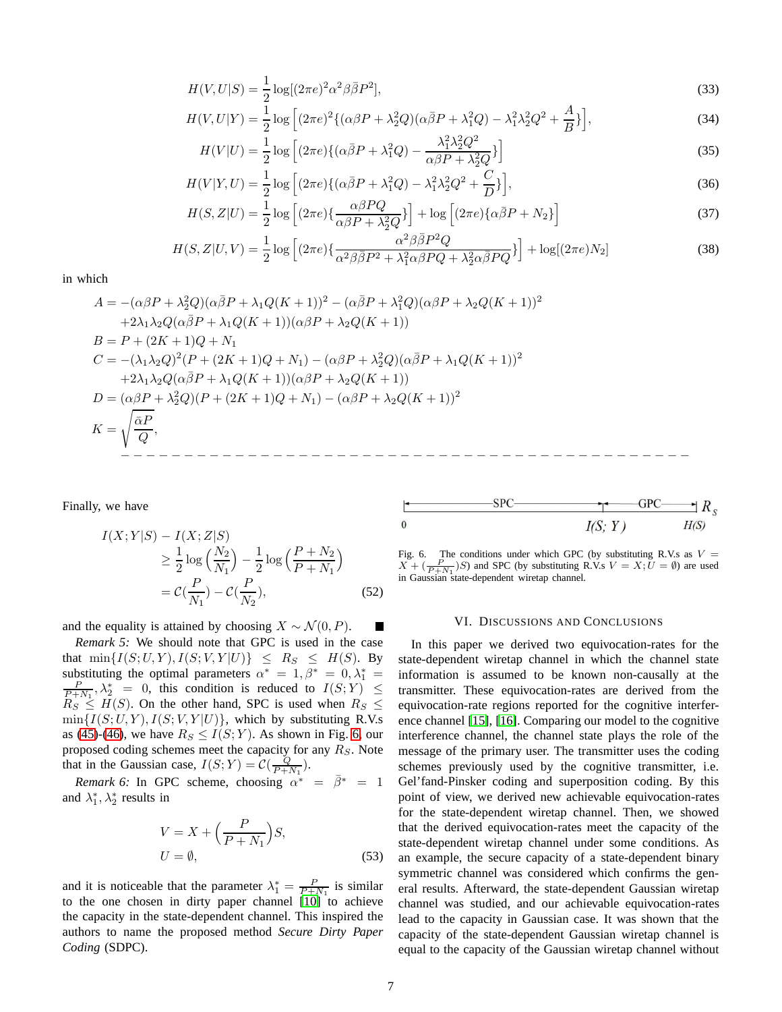$$
H(V,U|S) = \frac{1}{2}\log[(2\pi e)^2\alpha^2\beta\bar{\beta}P^2],\tag{33}
$$

$$
H(V, U|Y) = \frac{1}{2} \log \left[ (2\pi e)^2 \{ (\alpha \beta P + \lambda_2^2 Q)(\alpha \bar{\beta} P + \lambda_1^2 Q) - \lambda_1^2 \lambda_2^2 Q^2 + \frac{A}{B} \} \right],
$$
(34)

$$
H(V|U) = \frac{1}{2}\log\left[(2\pi e)\{(\alpha\bar{\beta}P + \lambda_1^2 Q) - \frac{\lambda_1^2 \lambda_2^2 Q^2}{\alpha\beta P + \lambda_2^2 Q}\}\right]
$$
(35)

$$
H(V|Y,U) = \frac{1}{2}\log\left[ (2\pi e)\{ (\alpha \bar{\beta}P + \lambda_1^2 Q) - \lambda_1^2 \lambda_2^2 Q^2 + \frac{C}{D} \} \right],
$$
\n(36)

$$
H(S, Z|U) = \frac{1}{2}\log\left[ (2\pi e)\left\{ \frac{\alpha\beta PQ}{\alpha\beta P + \lambda_2^2 Q} \right\} \right] + \log\left[ (2\pi e)\left\{ \alpha\bar{\beta}P + N_2 \right\} \right]
$$
(37)

$$
H(S, Z|U, V) = \frac{1}{2} \log \left[ (2\pi e) \left\{ \frac{\alpha^2 \beta \bar{\beta} P^2 Q}{\alpha^2 \beta \bar{\beta} P^2 + \lambda_1^2 \alpha \beta P Q + \lambda_2^2 \alpha \bar{\beta} P Q} \right\} \right] + \log[(2\pi e) N_2]
$$
(38)

in which

$$
A = -(\alpha\beta P + \lambda_2^2 Q)(\alpha\bar{\beta}P + \lambda_1 Q(K+1))^2 - (\alpha\bar{\beta}P + \lambda_1^2 Q)(\alpha\beta P + \lambda_2 Q(K+1))^2 +2\lambda_1 \lambda_2 Q(\alpha\bar{\beta}P + \lambda_1 Q(K+1))(\alpha\beta P + \lambda_2 Q(K+1))
$$
  
\n
$$
B = P + (2K+1)Q + N_1
$$
  
\n
$$
C = -(\lambda_1 \lambda_2 Q)^2 (P + (2K+1)Q + N_1) - (\alpha\beta P + \lambda_2^2 Q)(\alpha\bar{\beta}P + \lambda_1 Q(K+1))^2 +2\lambda_1 \lambda_2 Q(\alpha\bar{\beta}P + \lambda_1 Q(K+1))(\alpha\beta P + \lambda_2 Q(K+1))
$$
  
\n
$$
D = (\alpha\beta P + \lambda_2^2 Q)(P + (2K+1)Q + N_1) - (\alpha\beta P + \lambda_2 Q(K+1))^2
$$
  
\n
$$
K = \sqrt{\frac{\bar{\alpha}P}{Q}},
$$

Finally, we have

$$
I(X;Y|S) - I(X;Z|S)
$$
  
\n
$$
\geq \frac{1}{2} \log \left( \frac{N_2}{N_1} \right) - \frac{1}{2} \log \left( \frac{P + N_2}{P + N_1} \right)
$$
  
\n
$$
= C(\frac{P}{N_1}) - C(\frac{P}{N_2}),
$$
\n(52)

and the equality is attained by choosing  $X \sim \mathcal{N}(0, P)$ .

*Remark 5:* We should note that GPC is used in the case that  $\min\{I(S;U,Y), I(S;V,Y|U)\}\leq R_S \leq H(S)$ . By substituting the optimal parameters  $\alpha^* = 1, \beta^* = 0, \lambda_1^* =$  $\frac{P}{P+N_1}, \lambda_2^* = 0$ , this condition is reduced to  $I(S;Y) \leq$  $R_S \leq H(S)$ . On the other hand, SPC is used when  $R_S \leq$  $\min\{I(S;U,Y), I(S;V,Y|U)\}\$ , which by substituting R.V.s as [\(45\)](#page-4-2)-[\(46\)](#page-4-2), we have  $R_S \leq I(S;Y)$ . As shown in Fig. [6,](#page-6-0) our proposed coding schemes meet the capacity for any  $R_S$ . Note that in the Gaussian case,  $I(S;Y) = C(\frac{Q}{P+N_1})$ .

*Remark 6:* In GPC scheme, choosing  $\alpha^* = \overline{\beta}^* = 1$ and  $\lambda_1^*, \lambda_2^*$  results in

$$
V = X + \left(\frac{P}{P + N_1}\right)S,
$$
  
\n
$$
U = \emptyset,
$$
\n(53)

and it is noticeable that the parameter  $\lambda_1^* = \frac{P}{P + N_1}$  is similar to the one chosen in dirty paper channel [\[10\]](#page-8-6) to achieve the capacity in the state-dependent channel. This inspired the authors to name the proposed method *Secure Dirty Paper Coding* (SDPC).

|          | CDC         |     |
|----------|-------------|-----|
| $\bf{0}$ | $L(S \cdot$ | 11D |

<span id="page-6-0"></span>Fig. 6. The conditions under which GPC (by substituting R.V.s as  $V = X + (\frac{P}{P+N}S)$  and SPC (by substituting R.V.s  $V = X; U = \emptyset$ ) are used in Gaussian state-dependent wiretap channel.

## VI. DISCUSSIONS AND CONCLUSIONS

In this paper we derived two equivocation-rates for the state-dependent wiretap channel in which the channel state information is assumed to be known non-causally at the transmitter. These equivocation-rates are derived from the equivocation-rate regions reported for the cognitive interference channel [\[15\]](#page-8-12), [\[16\]](#page-8-13). Comparing our model to the cognitive interference channel, the channel state plays the role of the message of the primary user. The transmitter uses the coding schemes previously used by the cognitive transmitter, i.e. Gel'fand-Pinsker coding and superposition coding. By this point of view, we derived new achievable equivocation-rates for the state-dependent wiretap channel. Then, we showed that the derived equivocation-rates meet the capacity of the state-dependent wiretap channel under some conditions. As an example, the secure capacity of a state-dependent binary symmetric channel was considered which confirms the general results. Afterward, the state-dependent Gaussian wiretap channel was studied, and our achievable equivocation-rates lead to the capacity in Gaussian case. It was shown that the capacity of the state-dependent Gaussian wiretap channel is equal to the capacity of the Gaussian wiretap channel without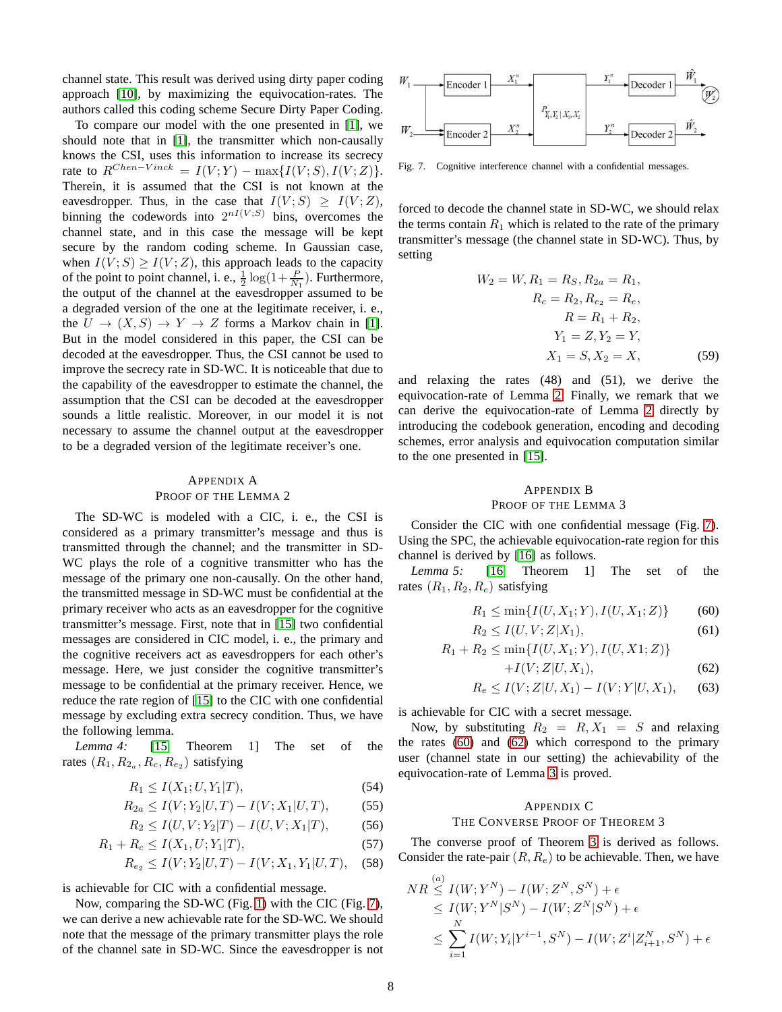channel state. This result was derived using dirty paper coding approach [\[10\]](#page-8-6), by maximizing the equivocation-rates. The authors called this coding scheme Secure Dirty Paper Coding.

To compare our model with the one presented in [\[1\]](#page-8-0), we should note that in [\[1\]](#page-8-0), the transmitter which non-causally knows the CSI, uses this information to increase its secrecy rate to  $R^{Chen-Vinck} = I(V;Y) - \max\{I(V;S), I(V;Z)\}.$ Therein, it is assumed that the CSI is not known at the eavesdropper. Thus, in the case that  $I(V;S) \geq I(V;Z)$ , binning the codewords into  $2^{nI(V;S)}$  bins, overcomes the channel state, and in this case the message will be kept secure by the random coding scheme. In Gaussian case, when  $I(V; S) \geq I(V; Z)$ , this approach leads to the capacity of the point to point channel, i. e.,  $\frac{1}{2} \log(1 + \frac{P}{N_1})$ . Furthermore, the output of the channel at the eavesdropper assumed to be a degraded version of the one at the legitimate receiver, i. e., the  $U \to (X, S) \to Y \to Z$  forms a Markov chain in [\[1\]](#page-8-0). But in the model considered in this paper, the CSI can be decoded at the eavesdropper. Thus, the CSI cannot be used to improve the secrecy rate in SD-WC. It is noticeable that due to the capability of the eavesdropper to estimate the channel, the assumption that the CSI can be decoded at the eavesdropper sounds a little realistic. Moreover, in our model it is not necessary to assume the channel output at the eavesdropper to be a degraded version of the legitimate receiver's one.

## APPENDIX A

#### PROOF OF THE LEMMA 2

The SD-WC is modeled with a CIC, i. e., the CSI is considered as a primary transmitter's message and thus is transmitted through the channel; and the transmitter in SD-WC plays the role of a cognitive transmitter who has the message of the primary one non-causally. On the other hand, the transmitted message in SD-WC must be confidential at the primary receiver who acts as an eavesdropper for the cognitive transmitter's message. First, note that in [\[15\]](#page-8-12) two confidential messages are considered in CIC model, i. e., the primary and the cognitive receivers act as eavesdroppers for each other's message. Here, we just consider the cognitive transmitter's message to be confidential at the primary receiver. Hence, we reduce the rate region of [\[15\]](#page-8-12) to the CIC with one confidential message by excluding extra secrecy condition. Thus, we have the following lemma.

*Lemma 4:* [\[15,](#page-8-12) Theorem 1] The set of the rates  $(R_1, R_{2_a}, R_c, R_{e_2})$  satisfying

$$
R_1 \le I(X_1; U, Y_1 | T), \tag{54}
$$

$$
R_{2a} \le I(V; Y_2 | U, T) - I(V; X_1 | U, T), \tag{55}
$$

$$
R_2 \le I(U, V; Y_2 | T) - I(U, V; X_1 | T), \tag{56}
$$

$$
R_1 + R_c \le I(X_1, U; Y_1 | T), \tag{57}
$$

$$
R_{e_2} \le I(V; Y_2 | U, T) - I(V; X_1, Y_1 | U, T), \quad (58)
$$

is achievable for CIC with a confidential message.

Now, comparing the SD-WC (Fig. [1\)](#page-1-0) with the CIC (Fig. [7\)](#page-7-0), we can derive a new achievable rate for the SD-WC. We should note that the message of the primary transmitter plays the role of the channel sate in SD-WC. Since the eavesdropper is not



<span id="page-7-0"></span>Fig. 7. Cognitive interference channel with a confidential messages.

forced to decode the channel state in SD-WC, we should relax the terms contain  $R_1$  which is related to the rate of the primary transmitter's message (the channel state in SD-WC). Thus, by setting

$$
W_2 = W, R_1 = R_S, R_{2a} = R_1,
$$
  
\n
$$
R_c = R_2, R_{e_2} = R_e,
$$
  
\n
$$
R = R_1 + R_2,
$$
  
\n
$$
Y_1 = Z, Y_2 = Y,
$$
  
\n
$$
X_1 = S, X_2 = X,
$$
\n(59)

and relaxing the rates (48) and (51), we derive the equivocation-rate of Lemma [2.](#page-2-0) Finally, we remark that we can derive the equivocation-rate of Lemma [2](#page-2-0) directly by introducing the codebook generation, encoding and decoding schemes, error analysis and equivocation computation similar to the one presented in [\[15\]](#page-8-12).

# <span id="page-7-1"></span>APPENDIX B PROOF OF THE LEMMA 3

Consider the CIC with one confidential message (Fig. [7\)](#page-7-0). Using the SPC, the achievable equivocation-rate region for this

channel is derived by [\[16\]](#page-8-13) as follows. *Lemma 5:* [\[16,](#page-8-13) Theorem 1] The set of the

rates 
$$
(R_1, R_2, R_e)
$$
 satisfying

$$
R_1 \le \min\{I(U, X_1; Y), I(U, X_1; Z)\} \tag{60}
$$

$$
R_2 \le I(U, V; Z|X_1),\tag{61}
$$

$$
R_1 + R_2 \le \min\{I(U, X_1; Y), I(U, X1; Z)\}\
$$

$$
+I(V;Z|U,X_1),\t\t(62)
$$

$$
R_e \le I(V; Z|U, X_1) - I(V; Y|U, X_1), \quad (63)
$$

is achievable for CIC with a secret message.

Now, by substituting  $R_2 = R_1 X_1 = S$  and relaxing the rates [\(60\)](#page-7-1) and [\(62\)](#page-7-1) which correspond to the primary user (channel state in our setting) the achievability of the equivocation-rate of Lemma [3](#page-2-3) is proved.

# APPENDIX C

#### THE CONVERSE PROOF OF THEOREM 3

The converse proof of Theorem [3](#page-3-1) is derived as follows. Consider the rate-pair  $(R, R_e)$  to be achievable. Then, we have

$$
NR \stackrel{(a)}{\leq} I(W;Y^N) - I(W;Z^N,S^N) + \epsilon
$$
  
\n
$$
\leq I(W;Y^N|S^N) - I(W;Z^N|S^N) + \epsilon
$$
  
\n
$$
\leq \sum_{i=1}^N I(W;Y_i|Y^{i-1},S^N) - I(W;Z^i|Z^N_{i+1},S^N) + \epsilon
$$